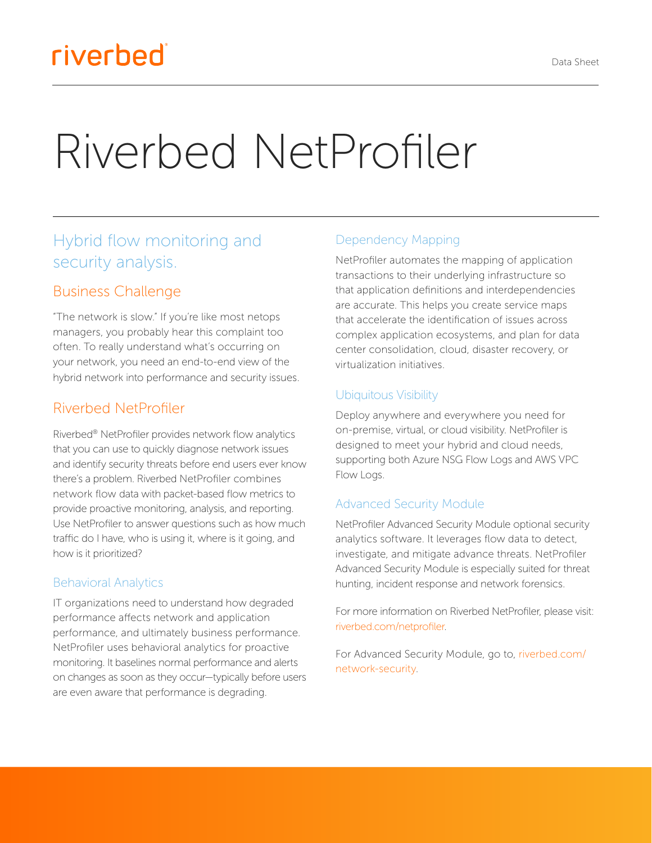# Riverbed NetProfiler

# Hybrid flow monitoring and security analysis.

#### Business Challenge

"The network is slow." If you're like most netops managers, you probably hear this complaint too often. To really understand what's occurring on your network, you need an end-to-end view of the hybrid network into performance and security issues.

#### Riverbed NetProfiler

Riverbed® NetProfiler provides network flow analytics that you can use to quickly diagnose network issues and identify security threats before end users ever know there's a problem. Riverbed NetProfiler combines network flow data with packet-based flow metrics to provide proactive monitoring, analysis, and reporting. Use NetProfiler to answer questions such as how much traffic do I have, who is using it, where is it going, and how is it prioritized?

#### Behavioral Analytics

IT organizations need to understand how degraded performance affects network and application performance, and ultimately business performance. NetProfiler uses behavioral analytics for proactive monitoring. It baselines normal performance and alerts on changes as soon as they occur—typically before users are even aware that performance is degrading.

#### Dependency Mapping

NetProfiler automates the mapping of application transactions to their underlying infrastructure so that application definitions and interdependencies are accurate. This helps you create service maps that accelerate the identification of issues across complex application ecosystems, and plan for data center consolidation, cloud, disaster recovery, or virtualization initiatives.

#### Ubiquitous Visibility

Deploy anywhere and everywhere you need for on-premise, virtual, or cloud visibility. NetProfiler is designed to meet your hybrid and cloud needs, supporting both Azure NSG Flow Logs and AWS VPC Flow Logs.

#### Advanced Security Module

NetProfiler Advanced Security Module optional security analytics software. It leverages flow data to detect, investigate, and mitigate advance threats. NetProfiler Advanced Security Module is especially suited for threat hunting, incident response and network forensics.

For more information on Riverbed NetProfiler, please visit: [riverbed.com/netprofiler](https://www.riverbed.com/products/steelcentral/steelcentral-netprofiler.html).

For Advanced Security Module, go to, [riverbed.com/](https://www.riverbed.com/products/steelcentral/steelcentral-netprofiler-advanced-security-module.html) [network-security.](https://www.riverbed.com/products/steelcentral/steelcentral-netprofiler-advanced-security-module.html)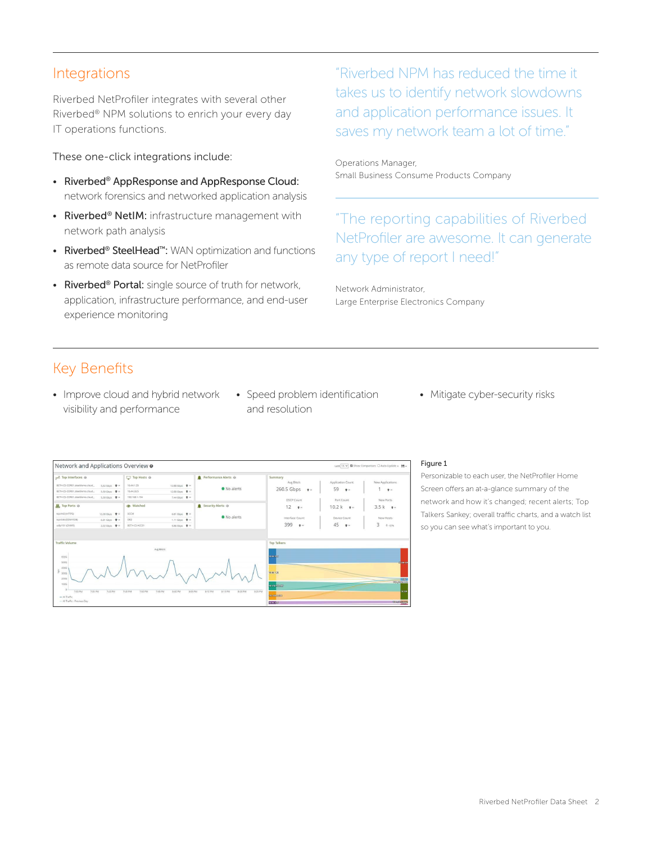#### Integrations

Riverbed NetProfiler integrates with several other Riverbed® NPM solutions to enrich your every day IT operations functions.

These one-click integrations include:

- Riverbed® AppResponse and AppResponse Cloud: network forensics and networked application analysis
- Riverbed® NetIM: infrastructure management with network path analysis
- Riverbed® SteelHead™: WAN optimization and functions as remote data source for NetProfiler
- Riverbed<sup>®</sup> Portal: single source of truth for network, application, infrastructure performance, and end-user experience monitoring

"Riverbed NPM has reduced the time it takes us to identify network slowdowns and application performance issues. It saves my network team a lot of time."

Operations Manager, Small Business Consume Products Company

"The reporting capabilities of Riverbed NetProfiler are awesome. It can generate any type of report I need!"

Network Administrator, Large Enterprise Electronics Company

## Key Benefits

- Improve cloud and hybrid network visibility and performance
- Speed problem identification and resolution
- Mitigate cyber-security risks



#### Figure 1

Personizable to each user, the NetProfiler Home Screen offers an at-a-glance summary of the network and how it's changed; recent alerts; Top Talkers Sankey; overall traffic charts, and a watch list so you can see what's important to you.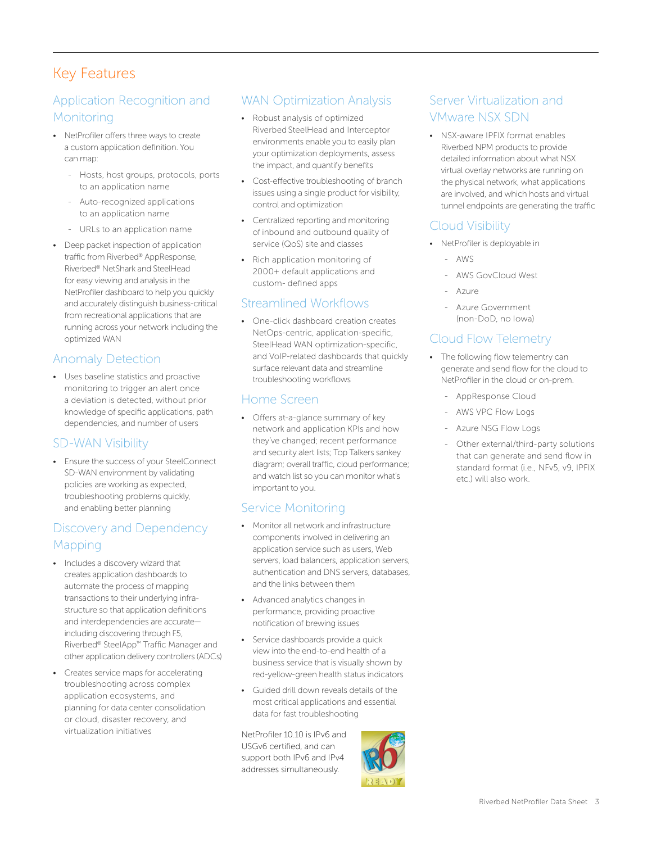## Key Features

#### Application Recognition and **Monitoring**

- NetProfiler offers three ways to create a custom application definition. You can map:
	- Hosts, host groups, protocols, ports to an application name
	- Auto-recognized applications to an application name
	- URLs to an application name
- Deep packet inspection of application traffic from Riverbed® AppResponse, Riverbed® NetShark and SteelHead for easy viewing and analysis in the NetProfiler dashboard to help you quickly and accurately distinguish business-critical from recreational applications that are running across your network including the optimized WAN

#### Anomaly Detection

• Uses baseline statistics and proactive monitoring to trigger an alert once a deviation is detected, without prior knowledge of specific applications, path dependencies, and number of users

#### SD-WAN Visibility

• Ensure the success of your SteelConnect SD-WAN environment by validating policies are working as expected, troubleshooting problems quickly, and enabling better planning

#### Discovery and Dependency **Mapping**

- Includes a discovery wizard that creates application dashboards to automate the process of mapping transactions to their underlying infrastructure so that application definitions and interdependencies are accurate including discovering through F5, Riverbed® SteelApp™ Traffic Manager and other application delivery controllers (ADCs)
- Creates service maps for accelerating troubleshooting across complex application ecosystems, and planning for data center consolidation or cloud, disaster recovery, and virtualization initiatives

#### WAN Optimization Analysis

- Robust analysis of optimized Riverbed SteelHead and Interceptor environments enable you to easily plan your optimization deployments, assess the impact, and quantify benefits
- Cost-effective troubleshooting of branch issues using a single product for visibility, control and optimization
- Centralized reporting and monitoring of inbound and outbound quality of service (QoS) site and classes
- Rich application monitoring of 2000+ default applications and custom- defined apps

#### Streamlined Workflows

• One-click dashboard creation creates NetOps-centric, application-specific, SteelHead WAN optimization-specific, and VoIP-related dashboards that quickly surface relevant data and streamline troubleshooting workflows

#### Home Screen

• Offers at-a-glance summary of key network and application KPIs and how they've changed; recent performance and security alert lists; Top Talkers sankey diagram; overall traffic, cloud performance; and watch list so you can monitor what's important to you.

#### Service Monitoring

- Monitor all network and infrastructure components involved in delivering an application service such as users, Web servers, load balancers, application servers, authentication and DNS servers, databases, and the links between them
- Advanced analytics changes in performance, providing proactive notification of brewing issues
- Service dashboards provide a quick view into the end-to-end health of a business service that is visually shown by red-yellow-green health status indicators
- Guided drill down reveals details of the most critical applications and essential data for fast troubleshooting

NetProfiler 10.10 is IPv6 and USGv6 certified, and can support both IPv6 and IPv4 addresses simultaneously.



#### Server Virtualization and VMware NSX SDN

• NSX-aware IPFIX format enables Riverbed NPM products to provide detailed information about what NSX virtual overlay networks are running on the physical network, what applications are involved, and which hosts and virtual tunnel endpoints are generating the traffic

#### Cloud Visibility

- NetProfiler is deployable in
	- AWS
	- AWS GovCloud West
	- Azure
	- Azure Government (non-DoD, no Iowa)

#### Cloud Flow Telemetry

- The following flow telementry can generate and send flow for the cloud to NetProfiler in the cloud or on-prem.
	- AppResponse Cloud
	- AWS VPC Flow Logs
	- Azure NSG Flow Logs
	- Other external/third-party solutions that can generate and send flow in standard format (i.e., NFv5, v9, IPFIX etc.) will also work.